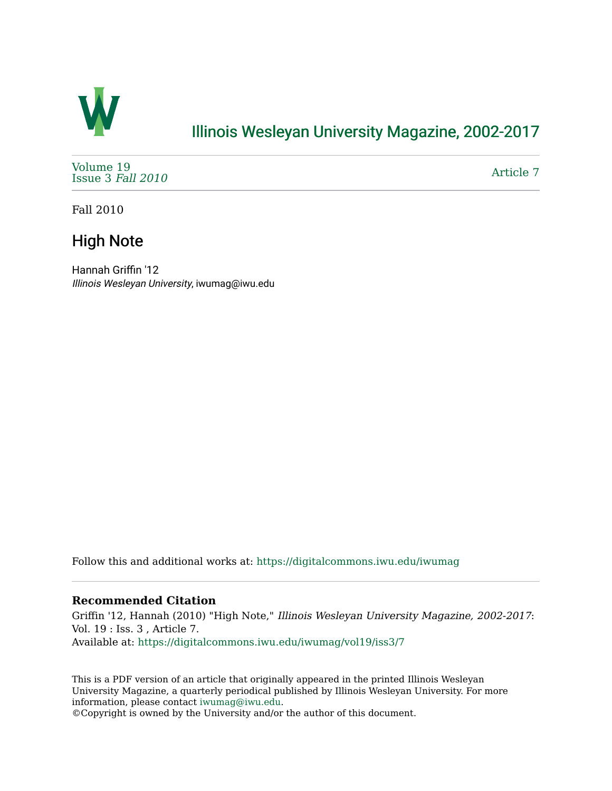

## [Illinois Wesleyan University Magazine, 2002-2017](https://digitalcommons.iwu.edu/iwumag)

[Volume 19](https://digitalcommons.iwu.edu/iwumag/vol19)  [Issue 3](https://digitalcommons.iwu.edu/iwumag/vol19/iss3) Fall 2010

[Article 7](https://digitalcommons.iwu.edu/iwumag/vol19/iss3/7) 

Fall 2010

## High Note

Hannah Griffin '12 Illinois Wesleyan University, iwumag@iwu.edu

Follow this and additional works at: [https://digitalcommons.iwu.edu/iwumag](https://digitalcommons.iwu.edu/iwumag?utm_source=digitalcommons.iwu.edu%2Fiwumag%2Fvol19%2Fiss3%2F7&utm_medium=PDF&utm_campaign=PDFCoverPages) 

#### **Recommended Citation**

Griffin '12, Hannah (2010) "High Note," Illinois Wesleyan University Magazine, 2002-2017: Vol. 19 : Iss. 3 , Article 7. Available at: [https://digitalcommons.iwu.edu/iwumag/vol19/iss3/7](https://digitalcommons.iwu.edu/iwumag/vol19/iss3/7?utm_source=digitalcommons.iwu.edu%2Fiwumag%2Fvol19%2Fiss3%2F7&utm_medium=PDF&utm_campaign=PDFCoverPages)

This is a PDF version of an article that originally appeared in the printed Illinois Wesleyan University Magazine, a quarterly periodical published by Illinois Wesleyan University. For more information, please contact [iwumag@iwu.edu](mailto:iwumag@iwu.edu).

©Copyright is owned by the University and/or the author of this document.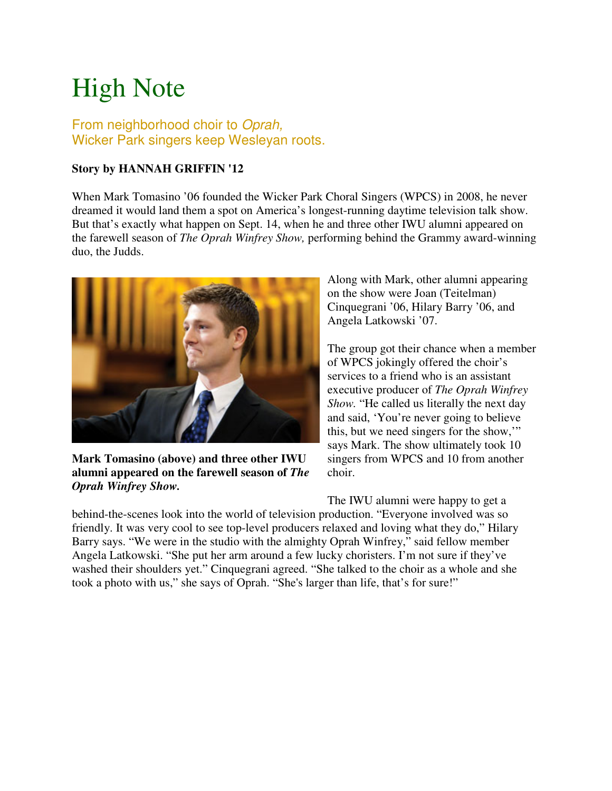# High Note

### From neighborhood choir to Oprah, Wicker Park singers keep Wesleyan roots.

### **Story by HANNAH GRIFFIN '12**

When Mark Tomasino '06 founded the Wicker Park Choral Singers (WPCS) in 2008, he never dreamed it would land them a spot on America's longest-running daytime television talk show. But that's exactly what happen on Sept. 14, when he and three other IWU alumni appeared on the farewell season of *The Oprah Winfrey Show,* performing behind the Grammy award-winning duo, the Judds.



**Mark Tomasino (above) and three other IWU alumni appeared on the farewell season of** *The Oprah Winfrey Show.*

Along with Mark, other alumni appearing on the show were Joan (Teitelman) Cinquegrani '06, Hilary Barry '06, and Angela Latkowski '07.

The group got their chance when a member of WPCS jokingly offered the choir's services to a friend who is an assistant executive producer of *The Oprah Winfrey Show.* "He called us literally the next day and said, 'You're never going to believe this, but we need singers for the show,'" says Mark. The show ultimately took 10 singers from WPCS and 10 from another choir.

The IWU alumni were happy to get a

behind-the-scenes look into the world of television production. "Everyone involved was so friendly. It was very cool to see top-level producers relaxed and loving what they do," Hilary Barry says. "We were in the studio with the almighty Oprah Winfrey," said fellow member Angela Latkowski. "She put her arm around a few lucky choristers. I'm not sure if they've washed their shoulders yet." Cinquegrani agreed. "She talked to the choir as a whole and she took a photo with us," she says of Oprah. "She's larger than life, that's for sure!"